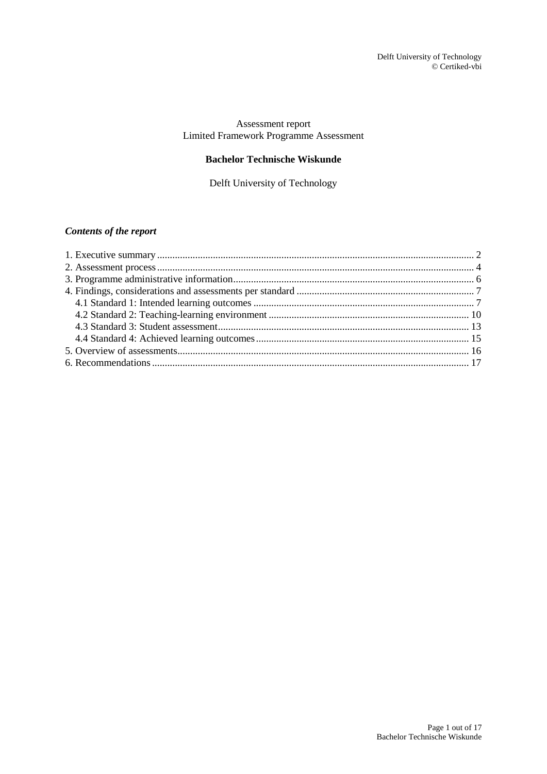# Assessment report Limited Framework Programme Assessment

# **Bachelor Technische Wiskunde**

Delft University of Technology

# *Contents of the report*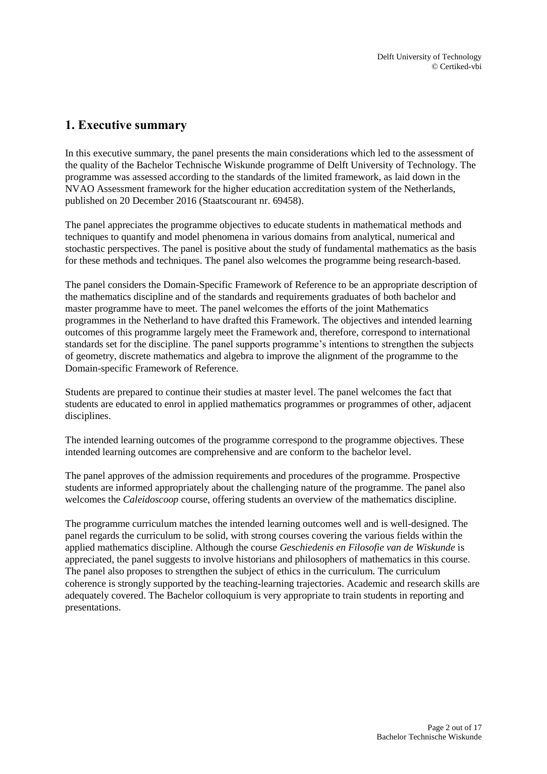# <span id="page-1-0"></span>**1. Executive summary**

In this executive summary, the panel presents the main considerations which led to the assessment of the quality of the Bachelor Technische Wiskunde programme of Delft University of Technology. The programme was assessed according to the standards of the limited framework, as laid down in the NVAO Assessment framework for the higher education accreditation system of the Netherlands, published on 20 December 2016 (Staatscourant nr. 69458).

The panel appreciates the programme objectives to educate students in mathematical methods and techniques to quantify and model phenomena in various domains from analytical, numerical and stochastic perspectives. The panel is positive about the study of fundamental mathematics as the basis for these methods and techniques. The panel also welcomes the programme being research-based.

The panel considers the Domain-Specific Framework of Reference to be an appropriate description of the mathematics discipline and of the standards and requirements graduates of both bachelor and master programme have to meet. The panel welcomes the efforts of the joint Mathematics programmes in the Netherland to have drafted this Framework. The objectives and intended learning outcomes of this programme largely meet the Framework and, therefore, correspond to international standards set for the discipline. The panel supports programme's intentions to strengthen the subjects of geometry, discrete mathematics and algebra to improve the alignment of the programme to the Domain-specific Framework of Reference.

Students are prepared to continue their studies at master level. The panel welcomes the fact that students are educated to enrol in applied mathematics programmes or programmes of other, adjacent disciplines.

The intended learning outcomes of the programme correspond to the programme objectives. These intended learning outcomes are comprehensive and are conform to the bachelor level.

The panel approves of the admission requirements and procedures of the programme. Prospective students are informed appropriately about the challenging nature of the programme. The panel also welcomes the *Caleidoscoop* course, offering students an overview of the mathematics discipline.

The programme curriculum matches the intended learning outcomes well and is well-designed. The panel regards the curriculum to be solid, with strong courses covering the various fields within the applied mathematics discipline. Although the course *Geschiedenis en Filosofie van de Wiskunde* is appreciated, the panel suggests to involve historians and philosophers of mathematics in this course. The panel also proposes to strengthen the subject of ethics in the curriculum. The curriculum coherence is strongly supported by the teaching-learning trajectories. Academic and research skills are adequately covered. The Bachelor colloquium is very appropriate to train students in reporting and presentations.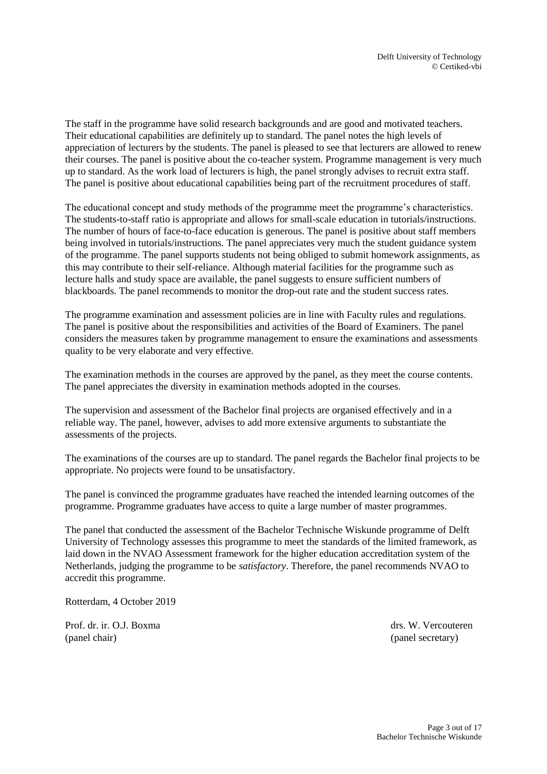The staff in the programme have solid research backgrounds and are good and motivated teachers. Their educational capabilities are definitely up to standard. The panel notes the high levels of appreciation of lecturers by the students. The panel is pleased to see that lecturers are allowed to renew their courses. The panel is positive about the co-teacher system. Programme management is very much up to standard. As the work load of lecturers is high, the panel strongly advises to recruit extra staff. The panel is positive about educational capabilities being part of the recruitment procedures of staff.

The educational concept and study methods of the programme meet the programme's characteristics. The students-to-staff ratio is appropriate and allows for small-scale education in tutorials/instructions. The number of hours of face-to-face education is generous. The panel is positive about staff members being involved in tutorials/instructions. The panel appreciates very much the student guidance system of the programme. The panel supports students not being obliged to submit homework assignments, as this may contribute to their self-reliance. Although material facilities for the programme such as lecture halls and study space are available, the panel suggests to ensure sufficient numbers of blackboards. The panel recommends to monitor the drop-out rate and the student success rates.

The programme examination and assessment policies are in line with Faculty rules and regulations. The panel is positive about the responsibilities and activities of the Board of Examiners. The panel considers the measures taken by programme management to ensure the examinations and assessments quality to be very elaborate and very effective.

The examination methods in the courses are approved by the panel, as they meet the course contents. The panel appreciates the diversity in examination methods adopted in the courses.

The supervision and assessment of the Bachelor final projects are organised effectively and in a reliable way. The panel, however, advises to add more extensive arguments to substantiate the assessments of the projects.

The examinations of the courses are up to standard. The panel regards the Bachelor final projects to be appropriate. No projects were found to be unsatisfactory.

The panel is convinced the programme graduates have reached the intended learning outcomes of the programme. Programme graduates have access to quite a large number of master programmes.

The panel that conducted the assessment of the Bachelor Technische Wiskunde programme of Delft University of Technology assesses this programme to meet the standards of the limited framework, as laid down in the NVAO Assessment framework for the higher education accreditation system of the Netherlands, judging the programme to be *satisfactory*. Therefore, the panel recommends NVAO to accredit this programme.

Rotterdam, 4 October 2019

Prof. dr. ir. O.J. Boxma drs. W. Vercouteren (panel chair) (panel secretary)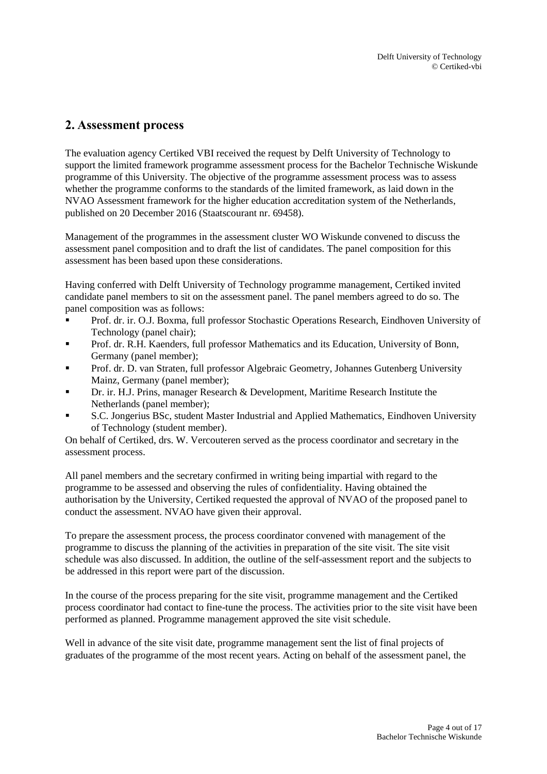# <span id="page-3-0"></span>**2. Assessment process**

The evaluation agency Certiked VBI received the request by Delft University of Technology to support the limited framework programme assessment process for the Bachelor Technische Wiskunde programme of this University. The objective of the programme assessment process was to assess whether the programme conforms to the standards of the limited framework, as laid down in the NVAO Assessment framework for the higher education accreditation system of the Netherlands, published on 20 December 2016 (Staatscourant nr. 69458).

Management of the programmes in the assessment cluster WO Wiskunde convened to discuss the assessment panel composition and to draft the list of candidates. The panel composition for this assessment has been based upon these considerations.

Having conferred with Delft University of Technology programme management, Certiked invited candidate panel members to sit on the assessment panel. The panel members agreed to do so. The panel composition was as follows:

- Prof. dr. ir. O.J. Boxma, full professor Stochastic Operations Research, Eindhoven University of Technology (panel chair);
- Prof. dr. R.H. Kaenders, full professor Mathematics and its Education, University of Bonn, Germany (panel member);
- Prof. dr. D. van Straten, full professor Algebraic Geometry, Johannes Gutenberg University Mainz, Germany (panel member);
- Dr. ir. H.J. Prins, manager Research & Development, Maritime Research Institute the Netherlands (panel member);
- S.C. Jongerius BSc, student Master Industrial and Applied Mathematics, Eindhoven University of Technology (student member).

On behalf of Certiked, drs. W. Vercouteren served as the process coordinator and secretary in the assessment process.

All panel members and the secretary confirmed in writing being impartial with regard to the programme to be assessed and observing the rules of confidentiality. Having obtained the authorisation by the University, Certiked requested the approval of NVAO of the proposed panel to conduct the assessment. NVAO have given their approval.

To prepare the assessment process, the process coordinator convened with management of the programme to discuss the planning of the activities in preparation of the site visit. The site visit schedule was also discussed. In addition, the outline of the self-assessment report and the subjects to be addressed in this report were part of the discussion.

In the course of the process preparing for the site visit, programme management and the Certiked process coordinator had contact to fine-tune the process. The activities prior to the site visit have been performed as planned. Programme management approved the site visit schedule.

Well in advance of the site visit date, programme management sent the list of final projects of graduates of the programme of the most recent years. Acting on behalf of the assessment panel, the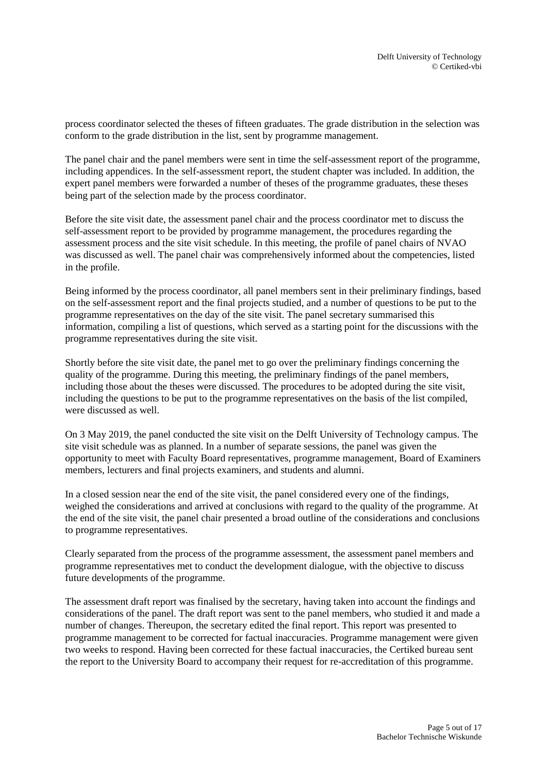process coordinator selected the theses of fifteen graduates. The grade distribution in the selection was conform to the grade distribution in the list, sent by programme management.

The panel chair and the panel members were sent in time the self-assessment report of the programme, including appendices. In the self-assessment report, the student chapter was included. In addition, the expert panel members were forwarded a number of theses of the programme graduates, these theses being part of the selection made by the process coordinator.

Before the site visit date, the assessment panel chair and the process coordinator met to discuss the self-assessment report to be provided by programme management, the procedures regarding the assessment process and the site visit schedule. In this meeting, the profile of panel chairs of NVAO was discussed as well. The panel chair was comprehensively informed about the competencies, listed in the profile.

Being informed by the process coordinator, all panel members sent in their preliminary findings, based on the self-assessment report and the final projects studied, and a number of questions to be put to the programme representatives on the day of the site visit. The panel secretary summarised this information, compiling a list of questions, which served as a starting point for the discussions with the programme representatives during the site visit.

Shortly before the site visit date, the panel met to go over the preliminary findings concerning the quality of the programme. During this meeting, the preliminary findings of the panel members, including those about the theses were discussed. The procedures to be adopted during the site visit, including the questions to be put to the programme representatives on the basis of the list compiled, were discussed as well.

On 3 May 2019, the panel conducted the site visit on the Delft University of Technology campus. The site visit schedule was as planned. In a number of separate sessions, the panel was given the opportunity to meet with Faculty Board representatives, programme management, Board of Examiners members, lecturers and final projects examiners, and students and alumni.

In a closed session near the end of the site visit, the panel considered every one of the findings, weighed the considerations and arrived at conclusions with regard to the quality of the programme. At the end of the site visit, the panel chair presented a broad outline of the considerations and conclusions to programme representatives.

Clearly separated from the process of the programme assessment, the assessment panel members and programme representatives met to conduct the development dialogue, with the objective to discuss future developments of the programme.

The assessment draft report was finalised by the secretary, having taken into account the findings and considerations of the panel. The draft report was sent to the panel members, who studied it and made a number of changes. Thereupon, the secretary edited the final report. This report was presented to programme management to be corrected for factual inaccuracies. Programme management were given two weeks to respond. Having been corrected for these factual inaccuracies, the Certiked bureau sent the report to the University Board to accompany their request for re-accreditation of this programme.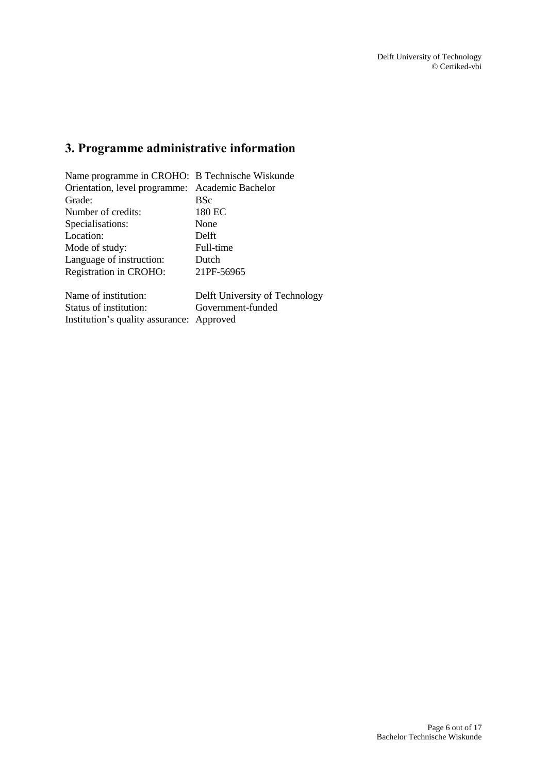# <span id="page-5-0"></span>**3. Programme administrative information**

| Name programme in CROHO: B Technische Wiskunde  |                                |  |
|-------------------------------------------------|--------------------------------|--|
| Orientation, level programme: Academic Bachelor |                                |  |
| Grade:                                          | <b>BSc</b>                     |  |
| Number of credits:                              | 180 EC                         |  |
| Specialisations:                                | None                           |  |
| Location:                                       | Delft                          |  |
| Mode of study:                                  | Full-time                      |  |
| Language of instruction:                        | Dutch                          |  |
| Registration in CROHO:                          | 21PF-56965                     |  |
| Name of institution:                            | Delft University of Technology |  |
| Status of institution:                          | Government-funded              |  |

Institution's quality assurance: Approved

Page 6 out of 17 Bachelor Technische Wiskunde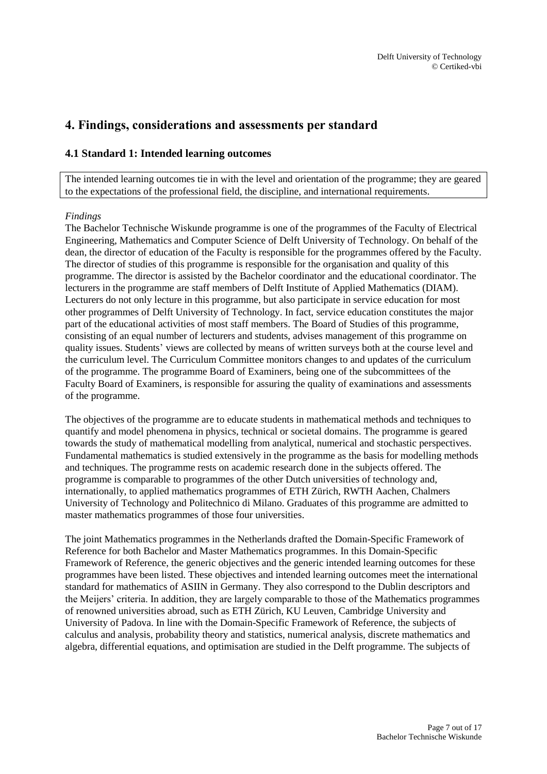# <span id="page-6-0"></span>**4. Findings, considerations and assessments per standard**

# <span id="page-6-1"></span>**4.1 Standard 1: Intended learning outcomes**

The intended learning outcomes tie in with the level and orientation of the programme; they are geared to the expectations of the professional field, the discipline, and international requirements.

#### *Findings*

The Bachelor Technische Wiskunde programme is one of the programmes of the Faculty of Electrical Engineering, Mathematics and Computer Science of Delft University of Technology. On behalf of the dean, the director of education of the Faculty is responsible for the programmes offered by the Faculty. The director of studies of this programme is responsible for the organisation and quality of this programme. The director is assisted by the Bachelor coordinator and the educational coordinator. The lecturers in the programme are staff members of Delft Institute of Applied Mathematics (DIAM). Lecturers do not only lecture in this programme, but also participate in service education for most other programmes of Delft University of Technology. In fact, service education constitutes the major part of the educational activities of most staff members. The Board of Studies of this programme, consisting of an equal number of lecturers and students, advises management of this programme on quality issues. Students' views are collected by means of written surveys both at the course level and the curriculum level. The Curriculum Committee monitors changes to and updates of the curriculum of the programme. The programme Board of Examiners, being one of the subcommittees of the Faculty Board of Examiners, is responsible for assuring the quality of examinations and assessments of the programme.

The objectives of the programme are to educate students in mathematical methods and techniques to quantify and model phenomena in physics, technical or societal domains. The programme is geared towards the study of mathematical modelling from analytical, numerical and stochastic perspectives. Fundamental mathematics is studied extensively in the programme as the basis for modelling methods and techniques. The programme rests on academic research done in the subjects offered. The programme is comparable to programmes of the other Dutch universities of technology and, internationally, to applied mathematics programmes of ETH Zürich, RWTH Aachen, Chalmers University of Technology and Politechnico di Milano. Graduates of this programme are admitted to master mathematics programmes of those four universities.

The joint Mathematics programmes in the Netherlands drafted the Domain-Specific Framework of Reference for both Bachelor and Master Mathematics programmes. In this Domain-Specific Framework of Reference, the generic objectives and the generic intended learning outcomes for these programmes have been listed. These objectives and intended learning outcomes meet the international standard for mathematics of ASIIN in Germany. They also correspond to the Dublin descriptors and the Meijers' criteria. In addition, they are largely comparable to those of the Mathematics programmes of renowned universities abroad, such as ETH Zürich, KU Leuven, Cambridge University and University of Padova. In line with the Domain-Specific Framework of Reference, the subjects of calculus and analysis, probability theory and statistics, numerical analysis, discrete mathematics and algebra, differential equations, and optimisation are studied in the Delft programme. The subjects of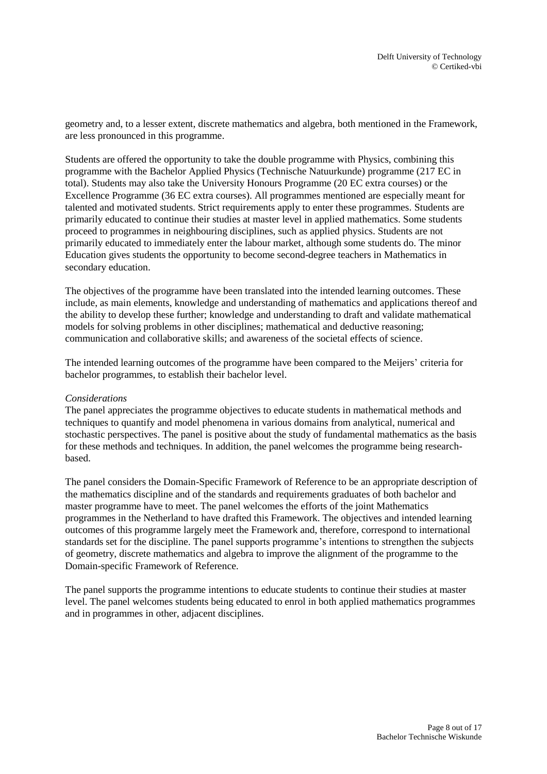geometry and, to a lesser extent, discrete mathematics and algebra, both mentioned in the Framework, are less pronounced in this programme.

Students are offered the opportunity to take the double programme with Physics, combining this programme with the Bachelor Applied Physics (Technische Natuurkunde) programme (217 EC in total). Students may also take the University Honours Programme (20 EC extra courses) or the Excellence Programme (36 EC extra courses). All programmes mentioned are especially meant for talented and motivated students. Strict requirements apply to enter these programmes. Students are primarily educated to continue their studies at master level in applied mathematics. Some students proceed to programmes in neighbouring disciplines, such as applied physics. Students are not primarily educated to immediately enter the labour market, although some students do. The minor Education gives students the opportunity to become second-degree teachers in Mathematics in secondary education.

The objectives of the programme have been translated into the intended learning outcomes. These include, as main elements, knowledge and understanding of mathematics and applications thereof and the ability to develop these further; knowledge and understanding to draft and validate mathematical models for solving problems in other disciplines; mathematical and deductive reasoning; communication and collaborative skills; and awareness of the societal effects of science.

The intended learning outcomes of the programme have been compared to the Meijers' criteria for bachelor programmes, to establish their bachelor level.

#### *Considerations*

The panel appreciates the programme objectives to educate students in mathematical methods and techniques to quantify and model phenomena in various domains from analytical, numerical and stochastic perspectives. The panel is positive about the study of fundamental mathematics as the basis for these methods and techniques. In addition, the panel welcomes the programme being researchbased.

The panel considers the Domain-Specific Framework of Reference to be an appropriate description of the mathematics discipline and of the standards and requirements graduates of both bachelor and master programme have to meet. The panel welcomes the efforts of the joint Mathematics programmes in the Netherland to have drafted this Framework. The objectives and intended learning outcomes of this programme largely meet the Framework and, therefore, correspond to international standards set for the discipline. The panel supports programme's intentions to strengthen the subjects of geometry, discrete mathematics and algebra to improve the alignment of the programme to the Domain-specific Framework of Reference.

The panel supports the programme intentions to educate students to continue their studies at master level. The panel welcomes students being educated to enrol in both applied mathematics programmes and in programmes in other, adjacent disciplines.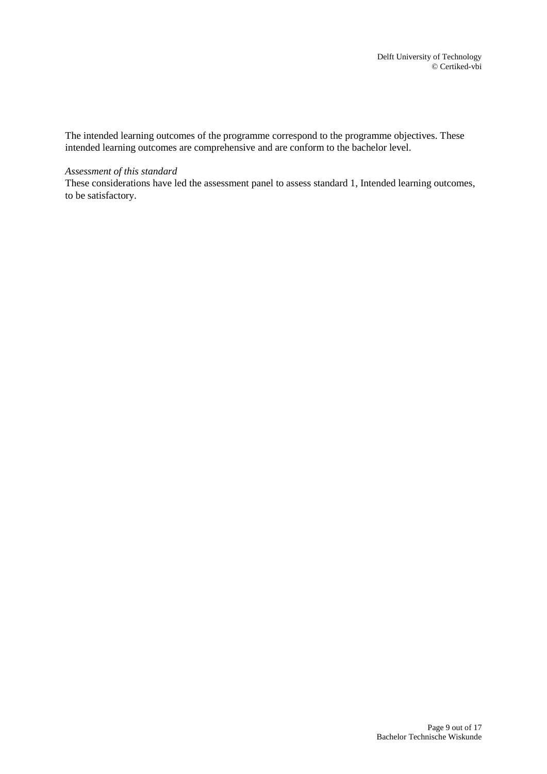The intended learning outcomes of the programme correspond to the programme objectives. These intended learning outcomes are comprehensive and are conform to the bachelor level.

#### *Assessment of this standard*

These considerations have led the assessment panel to assess standard 1, Intended learning outcomes, to be satisfactory.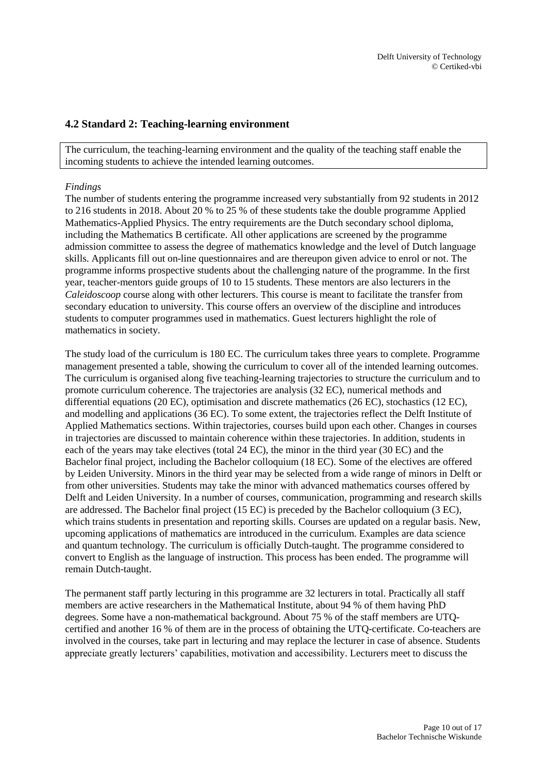# <span id="page-9-0"></span>**4.2 Standard 2: Teaching-learning environment**

The curriculum, the teaching-learning environment and the quality of the teaching staff enable the incoming students to achieve the intended learning outcomes.

#### *Findings*

The number of students entering the programme increased very substantially from 92 students in 2012 to 216 students in 2018. About 20 % to 25 % of these students take the double programme Applied Mathematics-Applied Physics. The entry requirements are the Dutch secondary school diploma, including the Mathematics B certificate. All other applications are screened by the programme admission committee to assess the degree of mathematics knowledge and the level of Dutch language skills. Applicants fill out on-line questionnaires and are thereupon given advice to enrol or not. The programme informs prospective students about the challenging nature of the programme. In the first year, teacher-mentors guide groups of 10 to 15 students. These mentors are also lecturers in the *Caleidoscoop* course along with other lecturers. This course is meant to facilitate the transfer from secondary education to university. This course offers an overview of the discipline and introduces students to computer programmes used in mathematics. Guest lecturers highlight the role of mathematics in society.

The study load of the curriculum is 180 EC. The curriculum takes three years to complete. Programme management presented a table, showing the curriculum to cover all of the intended learning outcomes. The curriculum is organised along five teaching-learning trajectories to structure the curriculum and to promote curriculum coherence. The trajectories are analysis (32 EC), numerical methods and differential equations (20 EC), optimisation and discrete mathematics (26 EC), stochastics (12 EC), and modelling and applications (36 EC). To some extent, the trajectories reflect the Delft Institute of Applied Mathematics sections. Within trajectories, courses build upon each other. Changes in courses in trajectories are discussed to maintain coherence within these trajectories. In addition, students in each of the years may take electives (total 24 EC), the minor in the third year (30 EC) and the Bachelor final project, including the Bachelor colloquium (18 EC). Some of the electives are offered by Leiden University. Minors in the third year may be selected from a wide range of minors in Delft or from other universities. Students may take the minor with advanced mathematics courses offered by Delft and Leiden University. In a number of courses, communication, programming and research skills are addressed. The Bachelor final project (15 EC) is preceded by the Bachelor colloquium (3 EC), which trains students in presentation and reporting skills. Courses are updated on a regular basis. New, upcoming applications of mathematics are introduced in the curriculum. Examples are data science and quantum technology. The curriculum is officially Dutch-taught. The programme considered to convert to English as the language of instruction. This process has been ended. The programme will remain Dutch-taught.

The permanent staff partly lecturing in this programme are 32 lecturers in total. Practically all staff members are active researchers in the Mathematical Institute, about 94 % of them having PhD degrees. Some have a non-mathematical background. About 75 % of the staff members are UTQcertified and another 16 % of them are in the process of obtaining the UTQ-certificate. Co-teachers are involved in the courses, take part in lecturing and may replace the lecturer in case of absence. Students appreciate greatly lecturers' capabilities, motivation and accessibility. Lecturers meet to discuss the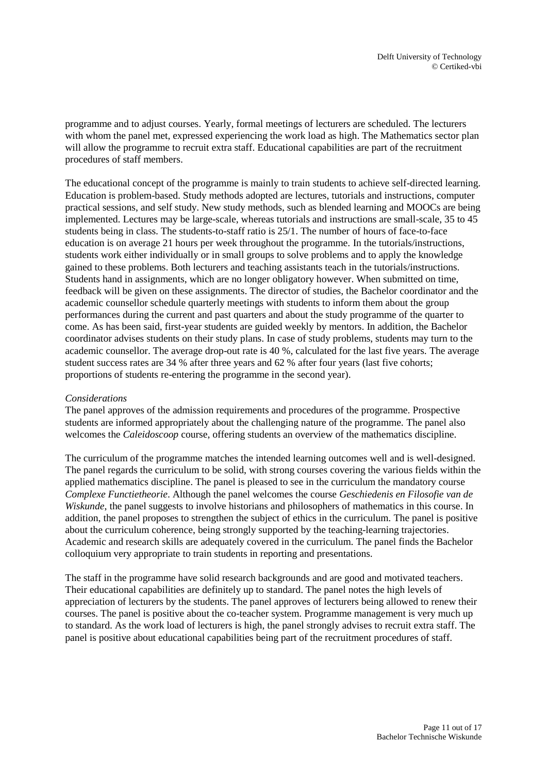programme and to adjust courses. Yearly, formal meetings of lecturers are scheduled. The lecturers with whom the panel met, expressed experiencing the work load as high. The Mathematics sector plan will allow the programme to recruit extra staff. Educational capabilities are part of the recruitment procedures of staff members.

The educational concept of the programme is mainly to train students to achieve self-directed learning. Education is problem-based. Study methods adopted are lectures, tutorials and instructions, computer practical sessions, and self study. New study methods, such as blended learning and MOOCs are being implemented. Lectures may be large-scale, whereas tutorials and instructions are small-scale, 35 to 45 students being in class. The students-to-staff ratio is 25/1. The number of hours of face-to-face education is on average 21 hours per week throughout the programme. In the tutorials/instructions, students work either individually or in small groups to solve problems and to apply the knowledge gained to these problems. Both lecturers and teaching assistants teach in the tutorials/instructions. Students hand in assignments, which are no longer obligatory however. When submitted on time, feedback will be given on these assignments. The director of studies, the Bachelor coordinator and the academic counsellor schedule quarterly meetings with students to inform them about the group performances during the current and past quarters and about the study programme of the quarter to come. As has been said, first-year students are guided weekly by mentors. In addition, the Bachelor coordinator advises students on their study plans. In case of study problems, students may turn to the academic counsellor. The average drop-out rate is 40 %, calculated for the last five years. The average student success rates are 34 % after three years and 62 % after four years (last five cohorts; proportions of students re-entering the programme in the second year).

### *Considerations*

The panel approves of the admission requirements and procedures of the programme. Prospective students are informed appropriately about the challenging nature of the programme. The panel also welcomes the *Caleidoscoop* course, offering students an overview of the mathematics discipline.

The curriculum of the programme matches the intended learning outcomes well and is well-designed. The panel regards the curriculum to be solid, with strong courses covering the various fields within the applied mathematics discipline. The panel is pleased to see in the curriculum the mandatory course *Complexe Functietheorie*. Although the panel welcomes the course *Geschiedenis en Filosofie van de Wiskunde*, the panel suggests to involve historians and philosophers of mathematics in this course. In addition, the panel proposes to strengthen the subject of ethics in the curriculum. The panel is positive about the curriculum coherence, being strongly supported by the teaching-learning trajectories. Academic and research skills are adequately covered in the curriculum. The panel finds the Bachelor colloquium very appropriate to train students in reporting and presentations.

The staff in the programme have solid research backgrounds and are good and motivated teachers. Their educational capabilities are definitely up to standard. The panel notes the high levels of appreciation of lecturers by the students. The panel approves of lecturers being allowed to renew their courses. The panel is positive about the co-teacher system. Programme management is very much up to standard. As the work load of lecturers is high, the panel strongly advises to recruit extra staff. The panel is positive about educational capabilities being part of the recruitment procedures of staff.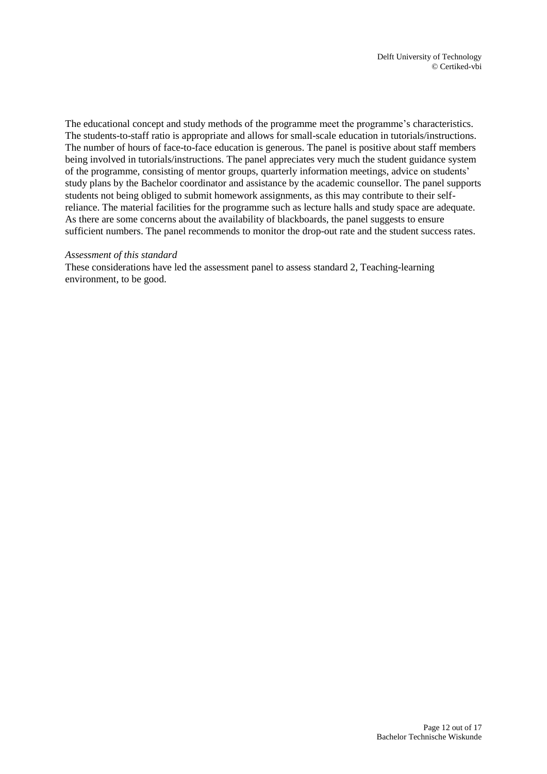The educational concept and study methods of the programme meet the programme's characteristics. The students-to-staff ratio is appropriate and allows for small-scale education in tutorials/instructions. The number of hours of face-to-face education is generous. The panel is positive about staff members being involved in tutorials/instructions. The panel appreciates very much the student guidance system of the programme, consisting of mentor groups, quarterly information meetings, advice on students' study plans by the Bachelor coordinator and assistance by the academic counsellor. The panel supports students not being obliged to submit homework assignments, as this may contribute to their selfreliance. The material facilities for the programme such as lecture halls and study space are adequate. As there are some concerns about the availability of blackboards, the panel suggests to ensure sufficient numbers. The panel recommends to monitor the drop-out rate and the student success rates.

#### *Assessment of this standard*

These considerations have led the assessment panel to assess standard 2, Teaching-learning environment, to be good.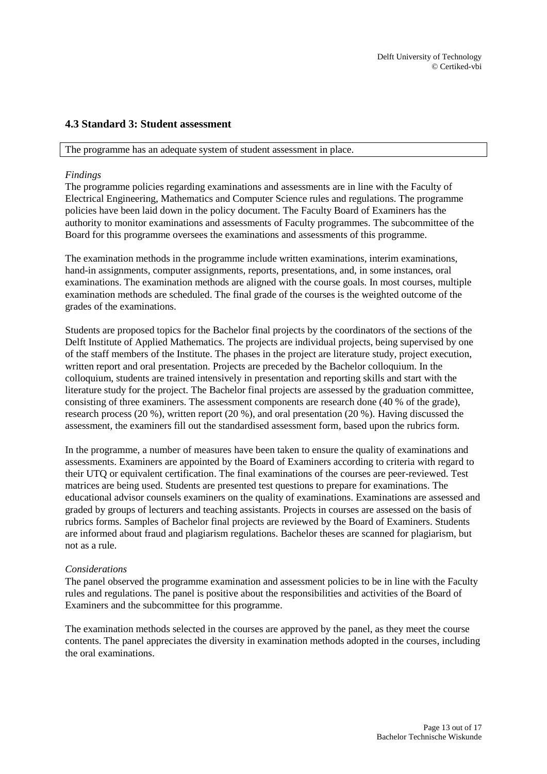# <span id="page-12-0"></span>**4.3 Standard 3: Student assessment**

#### The programme has an adequate system of student assessment in place.

### *Findings*

The programme policies regarding examinations and assessments are in line with the Faculty of Electrical Engineering, Mathematics and Computer Science rules and regulations. The programme policies have been laid down in the policy document. The Faculty Board of Examiners has the authority to monitor examinations and assessments of Faculty programmes. The subcommittee of the Board for this programme oversees the examinations and assessments of this programme.

The examination methods in the programme include written examinations, interim examinations, hand-in assignments, computer assignments, reports, presentations, and, in some instances, oral examinations. The examination methods are aligned with the course goals. In most courses, multiple examination methods are scheduled. The final grade of the courses is the weighted outcome of the grades of the examinations.

Students are proposed topics for the Bachelor final projects by the coordinators of the sections of the Delft Institute of Applied Mathematics. The projects are individual projects, being supervised by one of the staff members of the Institute. The phases in the project are literature study, project execution, written report and oral presentation. Projects are preceded by the Bachelor colloquium. In the colloquium, students are trained intensively in presentation and reporting skills and start with the literature study for the project. The Bachelor final projects are assessed by the graduation committee, consisting of three examiners. The assessment components are research done (40 % of the grade), research process (20 %), written report (20 %), and oral presentation (20 %). Having discussed the assessment, the examiners fill out the standardised assessment form, based upon the rubrics form.

In the programme, a number of measures have been taken to ensure the quality of examinations and assessments. Examiners are appointed by the Board of Examiners according to criteria with regard to their UTQ or equivalent certification. The final examinations of the courses are peer-reviewed. Test matrices are being used. Students are presented test questions to prepare for examinations. The educational advisor counsels examiners on the quality of examinations. Examinations are assessed and graded by groups of lecturers and teaching assistants. Projects in courses are assessed on the basis of rubrics forms. Samples of Bachelor final projects are reviewed by the Board of Examiners. Students are informed about fraud and plagiarism regulations. Bachelor theses are scanned for plagiarism, but not as a rule.

#### *Considerations*

The panel observed the programme examination and assessment policies to be in line with the Faculty rules and regulations. The panel is positive about the responsibilities and activities of the Board of Examiners and the subcommittee for this programme.

The examination methods selected in the courses are approved by the panel, as they meet the course contents. The panel appreciates the diversity in examination methods adopted in the courses, including the oral examinations.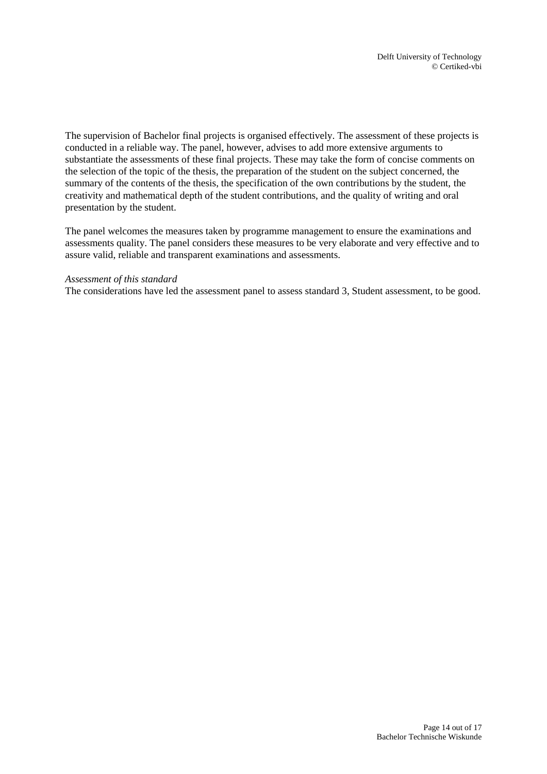The supervision of Bachelor final projects is organised effectively. The assessment of these projects is conducted in a reliable way. The panel, however, advises to add more extensive arguments to substantiate the assessments of these final projects. These may take the form of concise comments on the selection of the topic of the thesis, the preparation of the student on the subject concerned, the summary of the contents of the thesis, the specification of the own contributions by the student, the creativity and mathematical depth of the student contributions, and the quality of writing and oral presentation by the student.

The panel welcomes the measures taken by programme management to ensure the examinations and assessments quality. The panel considers these measures to be very elaborate and very effective and to assure valid, reliable and transparent examinations and assessments.

#### *Assessment of this standard*

The considerations have led the assessment panel to assess standard 3, Student assessment, to be good.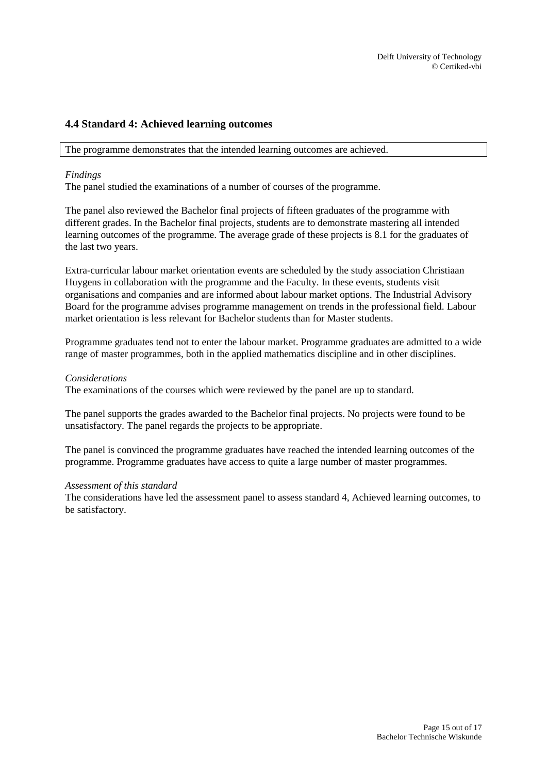# <span id="page-14-0"></span>**4.4 Standard 4: Achieved learning outcomes**

The programme demonstrates that the intended learning outcomes are achieved.

## *Findings*

The panel studied the examinations of a number of courses of the programme.

The panel also reviewed the Bachelor final projects of fifteen graduates of the programme with different grades. In the Bachelor final projects, students are to demonstrate mastering all intended learning outcomes of the programme. The average grade of these projects is 8.1 for the graduates of the last two years.

Extra-curricular labour market orientation events are scheduled by the study association Christiaan Huygens in collaboration with the programme and the Faculty. In these events, students visit organisations and companies and are informed about labour market options. The Industrial Advisory Board for the programme advises programme management on trends in the professional field. Labour market orientation is less relevant for Bachelor students than for Master students.

Programme graduates tend not to enter the labour market. Programme graduates are admitted to a wide range of master programmes, both in the applied mathematics discipline and in other disciplines.

### *Considerations*

The examinations of the courses which were reviewed by the panel are up to standard.

The panel supports the grades awarded to the Bachelor final projects. No projects were found to be unsatisfactory. The panel regards the projects to be appropriate.

The panel is convinced the programme graduates have reached the intended learning outcomes of the programme. Programme graduates have access to quite a large number of master programmes.

### *Assessment of this standard*

The considerations have led the assessment panel to assess standard 4, Achieved learning outcomes, to be satisfactory.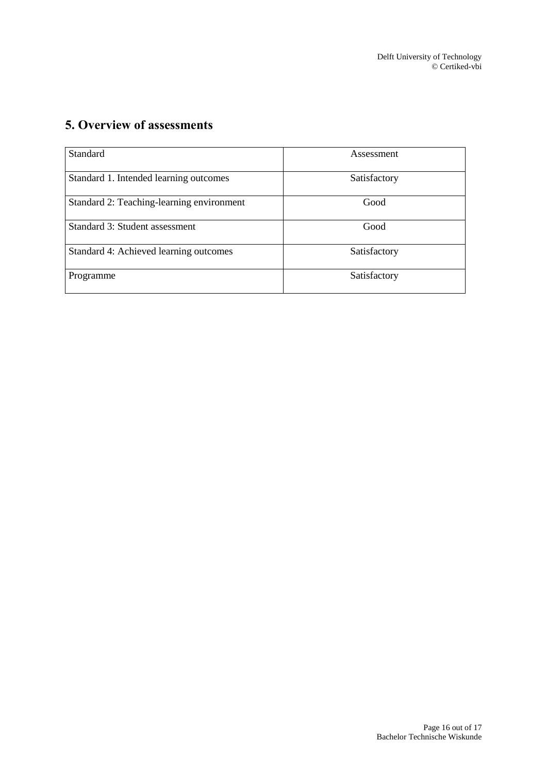# <span id="page-15-0"></span>**5. Overview of assessments**

| Standard                                  | Assessment   |
|-------------------------------------------|--------------|
| Standard 1. Intended learning outcomes    | Satisfactory |
| Standard 2: Teaching-learning environment | Good         |
| Standard 3: Student assessment            | Good         |
| Standard 4: Achieved learning outcomes    | Satisfactory |
| Programme                                 | Satisfactory |